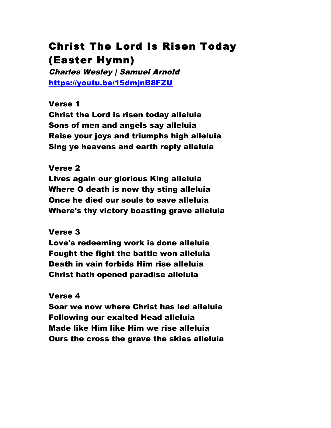# Christ The Lord Is Risen Today (Easter Hymn)

Charles Wesley | Samuel Arnold https://youtu.be/15dmjnB8FZU

Verse 1 Christ the Lord is risen today alleluia Sons of men and angels say alleluia Raise your joys and triumphs high alleluia Sing ye heavens and earth reply alleluia

### Verse 2

Lives again our glorious King alleluia Where O death is now thy sting alleluia Once he died our souls to save alleluia Where's thy victory boasting grave alleluia

### Verse 3

Love's redeeming work is done alleluia Fought the fight the battle won alleluia Death in vain forbids Him rise alleluia Christ hath opened paradise alleluia

### Verse 4

Soar we now where Christ has led alleluia Following our exalted Head alleluia Made like Him like Him we rise alleluia Ours the cross the grave the skies alleluia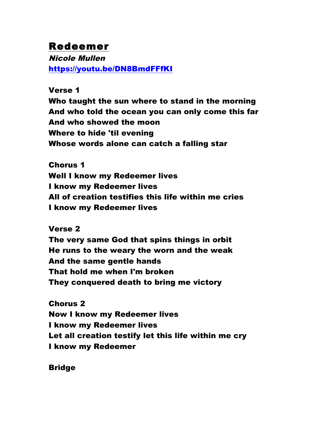## Redeemer

Nicole Mullen https://youtu.be/DN8BmdFFfKI

Verse 1

Who taught the sun where to stand in the morning And who told the ocean you can only come this far And who showed the moon Where to hide 'til evening Whose words alone can catch a falling star

Chorus 1 Well I know my Redeemer lives I know my Redeemer lives All of creation testifies this life within me cries I know my Redeemer lives

Verse 2

The very same God that spins things in orbit He runs to the weary the worn and the weak And the same gentle hands That hold me when I'm broken They conquered death to bring me victory

Chorus 2 Now I know my Redeemer lives I know my Redeemer lives Let all creation testify let this life within me cry I know my Redeemer

Bridge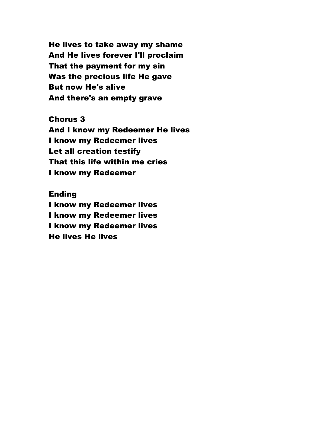He lives to take away my shame And He lives forever I'll proclaim That the payment for my sin Was the precious life He gave But now He's alive And there's an empty grave

Chorus 3 And I know my Redeemer He lives I know my Redeemer lives Let all creation testify That this life within me cries I know my Redeemer

## Ending

I know my Redeemer lives I know my Redeemer lives I know my Redeemer lives He lives He lives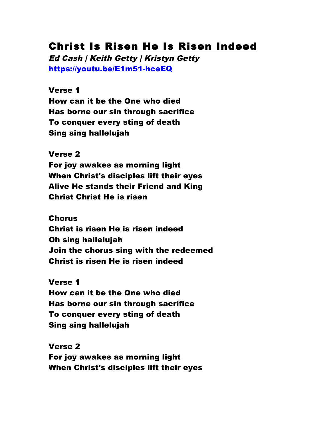## Christ Is Risen He Is Risen Indeed

Ed Cash | Keith Getty | Kristyn Getty https://youtu.be/E1m51-hceEQ

#### Verse 1

How can it be the One who died Has borne our sin through sacrifice To conquer every sting of death Sing sing hallelujah

Verse 2 For joy awakes as morning light When Christ's disciples lift their eyes Alive He stands their Friend and King Christ Christ He is risen

Chorus Christ is risen He is risen indeed Oh sing hallelujah Join the chorus sing with the redeemed Christ is risen He is risen indeed

Verse 1 How can it be the One who died Has borne our sin through sacrifice To conquer every sting of death Sing sing hallelujah

Verse 2 For joy awakes as morning light When Christ's disciples lift their eyes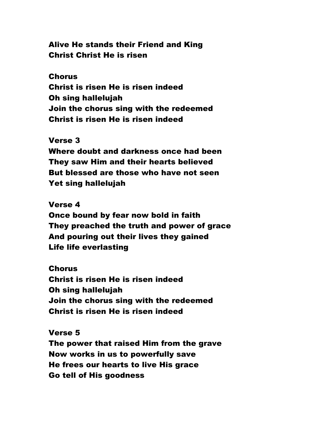Alive He stands their Friend and King Christ Christ He is risen

**Chorus** 

Christ is risen He is risen indeed Oh sing hallelujah Join the chorus sing with the redeemed Christ is risen He is risen indeed

#### Verse 3

Where doubt and darkness once had been They saw Him and their hearts believed But blessed are those who have not seen Yet sing hallelujah

#### Verse 4

Once bound by fear now bold in faith They preached the truth and power of grace And pouring out their lives they gained Life life everlasting

#### Chorus

Christ is risen He is risen indeed Oh sing hallelujah Join the chorus sing with the redeemed Christ is risen He is risen indeed

Verse 5 The power that raised Him from the grave Now works in us to powerfully save He frees our hearts to live His grace Go tell of His goodness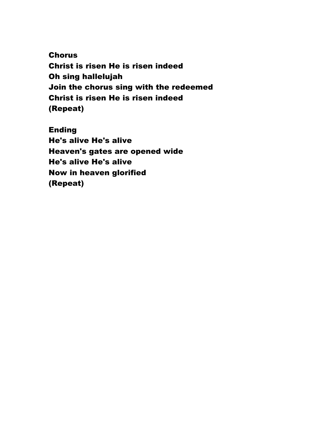**Chorus** Christ is risen He is risen indeed Oh sing hallelujah Join the chorus sing with the redeemed Christ is risen He is risen indeed (Repeat)

Ending He's alive He's alive Heaven's gates are opened wide He's alive He's alive Now in heaven glorified (Repeat)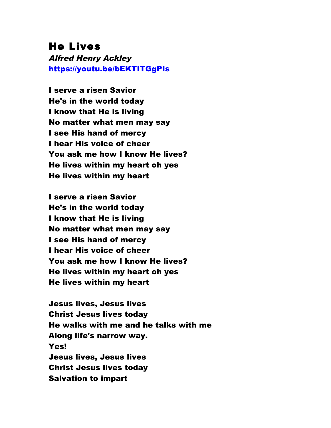## He Lives

Alfred Henry Ackley https://youtu.be/bEKTITGgPIs

I serve a risen Savior He's in the world today I know that He is living No matter what men may say I see His hand of mercy I hear His voice of cheer You ask me how I know He lives? He lives within my heart oh yes He lives within my heart

I serve a risen Savior He's in the world today I know that He is living No matter what men may say I see His hand of mercy I hear His voice of cheer You ask me how I know He lives? He lives within my heart oh yes He lives within my heart

Jesus lives, Jesus lives Christ Jesus lives today He walks with me and he talks with me Along life's narrow way. Yes! Jesus lives, Jesus lives Christ Jesus lives today Salvation to impart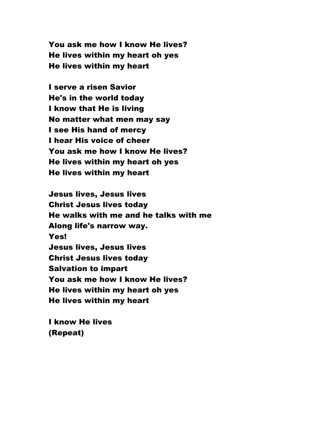You ask me how I know He lives? He lives within my heart oh yes He lives within my heart

I serve a risen Savior He's in the world today I know that He is living No matter what men may say I see His hand of mercy I hear His voice of cheer You ask me how I know He lives? He lives within my heart oh yes He lives within my heart

Jesus lives, Jesus lives Christ Jesus lives today He walks with me and he talks with me Along life's narrow way. Yes! Jesus lives, Jesus lives Christ Jesus lives today Salvation to impart You ask me how I know He lives? He lives within my heart oh yes He lives within my heart

I know He lives (Repeat)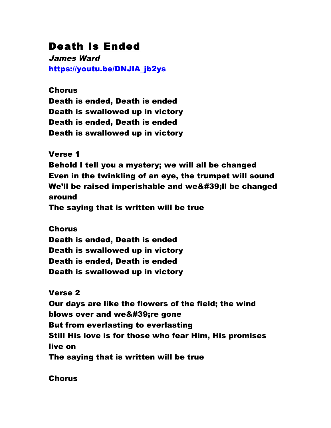## Death Is Ended

James Ward https://youtu.be/DNJlA\_jb2ys

Chorus Death is ended, Death is ended Death is swallowed up in victory Death is ended, Death is ended Death is swallowed up in victory

Verse 1 Behold I tell you a mystery; we will all be changed Even in the twinkling of an eye, the trumpet will sound We'll be raised imperishable and we'II be changed around The saying that is written will be true

**Chorus** Death is ended, Death is ended Death is swallowed up in victory Death is ended, Death is ended Death is swallowed up in victory

Verse 2 Our days are like the flowers of the field; the wind blows over and we're gone But from everlasting to everlasting Still His love is for those who fear Him, His promises live on The saying that is written will be true

Chorus